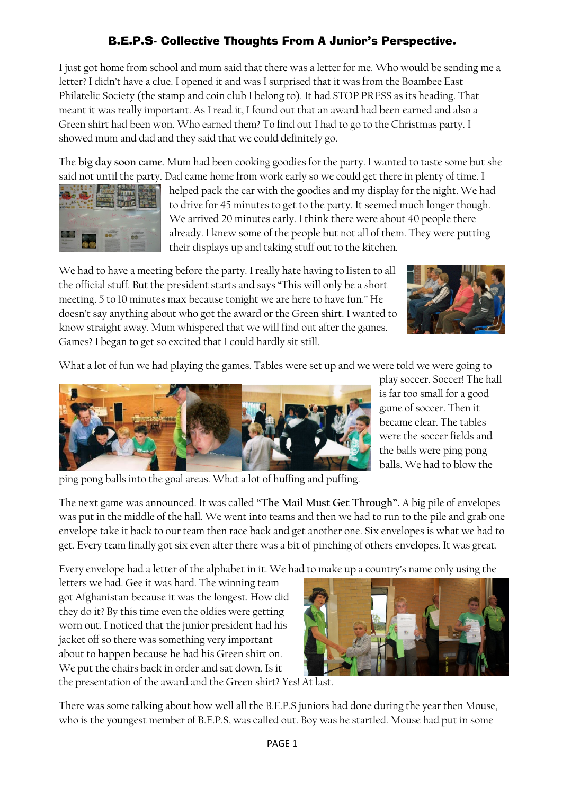## B.E.P.S- Collective Thoughts From A Junior's Perspective.

I just got home from school and mum said that there was a letter for me. Who would be sending me a letter? I didn't have a clue. I opened it and was I surprised that it was from the Boambee East Philatelic Society (the stamp and coin club I belong to). It had STOP PRESS as its heading. That meant it was really important. As I read it, I found out that an award had been earned and also a Green shirt had been won. Who earned them? To find out I had to go to the Christmas party. I showed mum and dad and they said that we could definitely go.

The **big day soon came**. Mum had been cooking goodies for the party. I wanted to taste some but she said not until the party. Dad came home from work early so we could get there in plenty of time. I



helped pack the car with the goodies and my display for the night. We had to drive for 45 minutes to get to the party. It seemed much longer though. We arrived 20 minutes early. I think there were about 40 people there already. I knew some of the people but not all of them. They were putting their displays up and taking stuff out to the kitchen.

We had to have a meeting before the party. I really hate having to listen to all the official stuff. But the president starts and says "This will only be a short meeting. 5 to 10 minutes max because tonight we are here to have fun." He doesn't say anything about who got the award or the Green shirt. I wanted to know straight away. Mum whispered that we will find out after the games. Games? I began to get so excited that I could hardly sit still.



What a lot of fun we had playing the games. Tables were set up and we were told we were going to



ping pong balls into the goal areas. What a lot of huffing and puffing.

play soccer. Soccer! The hall is far too small for a good game of soccer. Then it became clear. The tables were the soccer fields and the balls were ping pong balls. We had to blow the

The next game was announced. It was called **"The Mail Must Get Through".** A big pile of envelopes was put in the middle of the hall. We went into teams and then we had to run to the pile and grab one envelope take it back to our team then race back and get another one. Six envelopes is what we had to get. Every team finally got six even after there was a bit of pinching of others envelopes. It was great.

Every envelope had a letter of the alphabet in it. We had to make up a country's name only using the

letters we had. Gee it was hard. The winning team got Afghanistan because it was the longest. How did they do it? By this time even the oldies were getting worn out. I noticed that the junior president had his jacket off so there was something very important about to happen because he had his Green shirt on. We put the chairs back in order and sat down. Is it



the presentation of the award and the Green shirt? Yes! At last.

There was some talking about how well all the B.E.P.S juniors had done during the year then Mouse, who is the youngest member of B.E.P.S, was called out. Boy was he startled. Mouse had put in some